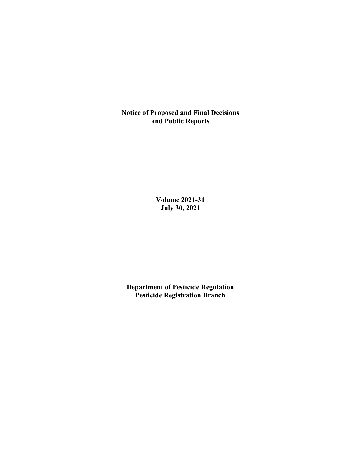**Notice of Proposed and Final Decisions and Public Reports**

> **Volume 2021-31 July 30, 2021**

**Department of Pesticide Regulation Pesticide Registration Branch**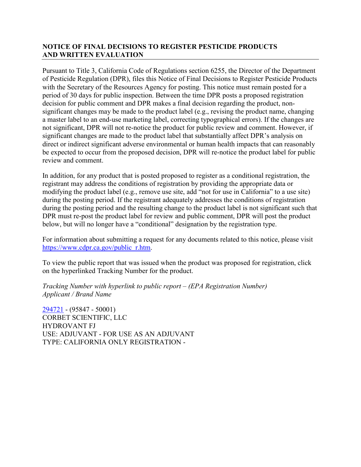# **NOTICE OF FINAL DECISIONS TO REGISTER PESTICIDE PRODUCTS AND WRITTEN EVALUATION**

Pursuant to Title 3, California Code of Regulations section 6255, the Director of the Department of Pesticide Regulation (DPR), files this Notice of Final Decisions to Register Pesticide Products with the Secretary of the Resources Agency for posting. This notice must remain posted for a period of 30 days for public inspection. Between the time DPR posts a proposed registration decision for public comment and DPR makes a final decision regarding the product, nonsignificant changes may be made to the product label (e.g., revising the product name, changing a master label to an end-use marketing label, correcting typographical errors). If the changes are not significant, DPR will not re-notice the product for public review and comment. However, if significant changes are made to the product label that substantially affect DPR's analysis on direct or indirect significant adverse environmental or human health impacts that can reasonably be expected to occur from the proposed decision, DPR will re-notice the product label for public review and comment.

In addition, for any product that is posted proposed to register as a conditional registration, the registrant may address the conditions of registration by providing the appropriate data or modifying the product label (e.g., remove use site, add "not for use in California" to a use site) during the posting period. If the registrant adequately addresses the conditions of registration during the posting period and the resulting change to the product label is not significant such that DPR must re-post the product label for review and public comment, DPR will post the product below, but will no longer have a "conditional" designation by the registration type.

For information about submitting a request for any documents related to this notice, please visit [https://www.cdpr.ca.gov/public\\_r.htm.](https://www.cdpr.ca.gov/public_r.htm)

To view the public report that was issued when the product was proposed for registration, click on the hyperlinked Tracking Number for the product.

*Tracking Number with hyperlink to public report – (EPA Registration Number) Applicant / Brand Name*

[294721](https://www.cdpr.ca.gov/docs/registration/nod/public_reports/294721.pdf) - (95847 - 50001) CORBET SCIENTIFIC, LLC HYDROVANT FJ USE: ADJUVANT - FOR USE AS AN ADJUVANT TYPE: CALIFORNIA ONLY REGISTRATION -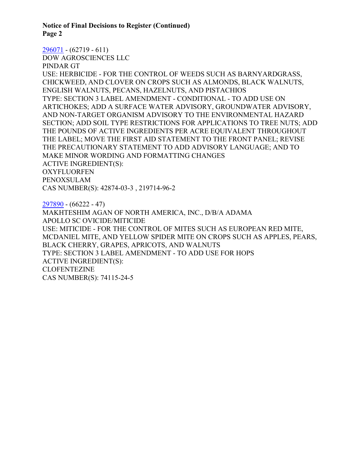**Notice of Final Decisions to Register (Continued) Page 2**

#### [296071](https://www.cdpr.ca.gov/docs/registration/nod/public_reports/296071.pdf) - (62719 - 611)

DOW AGROSCIENCES LLC

PINDAR GT

USE: HERBICIDE - FOR THE CONTROL OF WEEDS SUCH AS BARNYARDGRASS, CHICKWEED, AND CLOVER ON CROPS SUCH AS ALMONDS, BLACK WALNUTS, ENGLISH WALNUTS, PECANS, HAZELNUTS, AND PISTACHIOS TYPE: SECTION 3 LABEL AMENDMENT - CONDITIONAL - TO ADD USE ON ARTICHOKES; ADD A SURFACE WATER ADVISORY, GROUNDWATER ADVISORY, AND NON-TARGET ORGANISM ADVISORY TO THE ENVIRONMENTAL HAZARD SECTION; ADD SOIL TYPE RESTRICTIONS FOR APPLICATIONS TO TREE NUTS; ADD THE POUNDS OF ACTIVE INGREDIENTS PER ACRE EQUIVALENT THROUGHOUT THE LABEL; MOVE THE FIRST AID STATEMENT TO THE FRONT PANEL; REVISE THE PRECAUTIONARY STATEMENT TO ADD ADVISORY LANGUAGE; AND TO MAKE MINOR WORDING AND FORMATTING CHANGES ACTIVE INGREDIENT(S): **OXYFLUORFEN** PENOXSULAM CAS NUMBER(S): 42874-03-3 , 219714-96-2

[297890](https://www.cdpr.ca.gov/docs/registration/nod/public_reports/297890.pdf) - (66222 - 47) MAKHTESHIM AGAN OF NORTH AMERICA, INC., D/B/A ADAMA APOLLO SC OVICIDE/MITICIDE USE: MITICIDE - FOR THE CONTROL OF MITES SUCH AS EUROPEAN RED MITE, MCDANIEL MITE, AND YELLOW SPIDER MITE ON CROPS SUCH AS APPLES, PEARS, BLACK CHERRY, GRAPES, APRICOTS, AND WALNUTS TYPE: SECTION 3 LABEL AMENDMENT - TO ADD USE FOR HOPS ACTIVE INGREDIENT(S): CLOFENTEZINE CAS NUMBER(S): 74115-24-5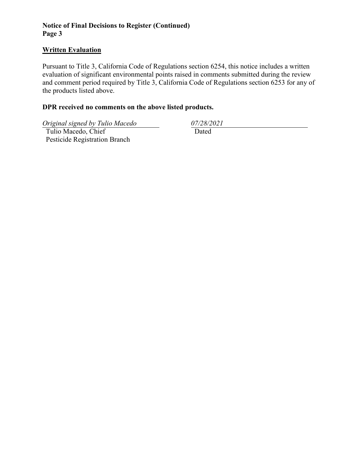# **Notice of Final Decisions to Register (Continued) Page 3**

### **Written Evaluation**

Pursuant to Title 3, California Code of Regulations section 6254, this notice includes a written evaluation of significant environmental points raised in comments submitted during the review and comment period required by Title 3, California Code of Regulations section 6253 for any of the products listed above.

# **DPR received no comments on the above listed products.**

*Original signed by Tulio Macedo 07/28/2021*

 Tulio Macedo, Chief Pesticide Registration Branch

Dated